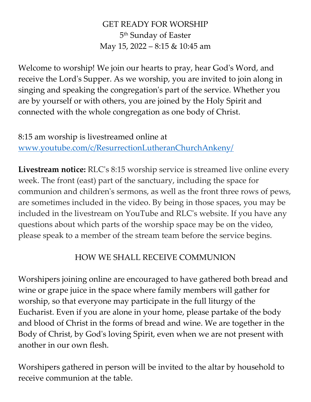# GET READY FOR WORSHIP 5 th Sunday of Easter May 15, 2022 – 8:15 & 10:45 am

Welcome to worship! We join our hearts to pray, hear God's Word, and receive the Lord's Supper. As we worship, you are invited to join along in singing and speaking the congregation's part of the service. Whether you are by yourself or with others, you are joined by the Holy Spirit and connected with the whole congregation as one body of Christ.

8:15 am worship is livestreamed online at [www.youtube.com/c/ResurrectionLutheranChurchAnkeny/](http://www.youtube.com/c/ResurrectionLutheranChurchAnkeny/)

**Livestream notice:** RLC's 8:15 worship service is streamed live online every week. The front (east) part of the sanctuary, including the space for communion and children's sermons, as well as the front three rows of pews, are sometimes included in the video. By being in those spaces, you may be included in the livestream on YouTube and RLC's website. If you have any questions about which parts of the worship space may be on the video, please speak to a member of the stream team before the service begins.

# HOW WE SHALL RECEIVE COMMUNION

Worshipers joining online are encouraged to have gathered both bread and wine or grape juice in the space where family members will gather for worship, so that everyone may participate in the full liturgy of the Eucharist. Even if you are alone in your home, please partake of the body and blood of Christ in the forms of bread and wine. We are together in the Body of Christ, by God's loving Spirit, even when we are not present with another in our own flesh.

Worshipers gathered in person will be invited to the altar by household to receive communion at the table.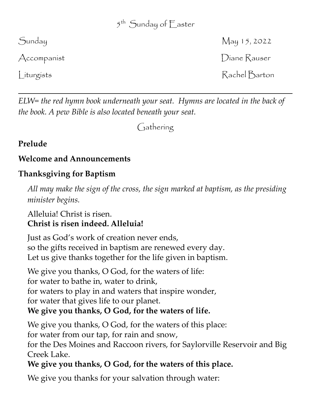# 5 th Sunday of Easter

Sunday May 15, 2022 Accompanist **Diane Rauser** Liturgists Rachel Barton

*ELW= the red hymn book underneath your seat. Hymns are located in the back of the book. A pew Bible is also located beneath your seat.*

Gathering

# **Prelude**

# **Welcome and Announcements**

# **Thanksgiving for Baptism**

*All may make the sign of the cross, the sign marked at baptism, as the presiding minister begins.*

# Alleluia! Christ is risen. **Christ is risen indeed. Alleluia!**

Just as God's work of creation never ends, so the gifts received in baptism are renewed every day. Let us give thanks together for the life given in baptism.

We give you thanks, O God, for the waters of life: for water to bathe in, water to drink, for waters to play in and waters that inspire wonder, for water that gives life to our planet. **We give you thanks, O God, for the waters of life.**

We give you thanks, O God, for the waters of this place: for water from our tap, for rain and snow, for the Des Moines and Raccoon rivers, for Saylorville Reservoir and Big Creek Lake.

# **We give you thanks, O God, for the waters of this place.**

We give you thanks for your salvation through water: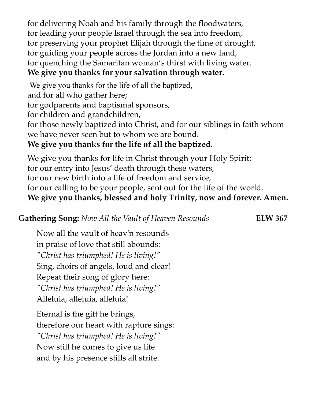for delivering Noah and his family through the floodwaters, for leading your people Israel through the sea into freedom, for preserving your prophet Elijah through the time of drought, for guiding your people across the Jordan into a new land, for quenching the Samaritan woman's thirst with living water.

# **We give you thanks for your salvation through water.**

We give you thanks for the life of all the baptized, and for all who gather here; for godparents and baptismal sponsors, for children and grandchildren, for those newly baptized into Christ, and for our siblings in faith whom we have never seen but to whom we are bound. **We give you thanks for the life of all the baptized.**

We give you thanks for life in Christ through your Holy Spirit: for our entry into Jesus' death through these waters, for our new birth into a life of freedom and service, for our calling to be your people, sent out for the life of the world. **We give you thanks, blessed and holy Trinity, now and forever. Amen.**

# **Gathering Song:** *Now All the Vault of Heaven Resounds* **ELW 367**

Now all the vault of heav'n resounds in praise of love that still abounds: *"Christ has triumphed! He is living!"* Sing, choirs of angels, loud and clear! Repeat their song of glory here: *"Christ has triumphed! He is living!"* Alleluia, alleluia, alleluia!

Eternal is the gift he brings, therefore our heart with rapture sings: *"Christ has triumphed! He is living!"* Now still he comes to give us life and by his presence stills all strife.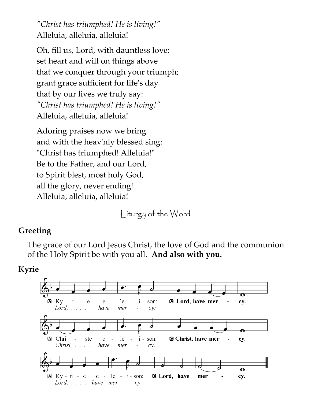*"Christ has triumphed! He is living!"* Alleluia, alleluia, alleluia!

Oh, fill us, Lord, with dauntless love; set heart and will on things above that we conquer through your triumph; grant grace sufficient for life's day that by our lives we truly say: *"Christ has triumphed! He is living!"* Alleluia, alleluia, alleluia!

Adoring praises now we bring and with the heav'nly blessed sing: "Christ has triumphed! Alleluia!" Be to the Father, and our Lord, to Spirit blest, most holy God, all the glory, never ending! Alleluia, alleluia, alleluia!

Liturgy of the Word

#### **Greeting**

The grace of our Lord Jesus Christ, the love of God and the communion of the Holy Spirit be with you all. **And also with you.**

#### **Kyrie**

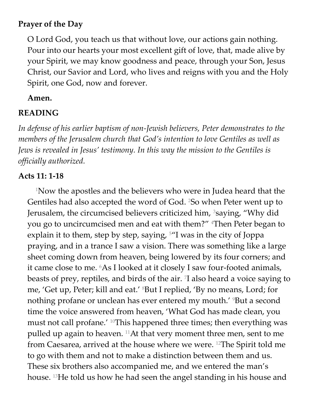## **Prayer of the Day**

O Lord God, you teach us that without love, our actions gain nothing. Pour into our hearts your most excellent gift of love, that, made alive by your Spirit, we may know goodness and peace, through your Son, Jesus Christ, our Savior and Lord, who lives and reigns with you and the Holy Spirit, one God, now and forever.

#### **Amen.**

#### **READING**

*In defense of his earlier baptism of non-Jewish believers, Peter demonstrates to the members of the Jerusalem church that God's intention to love Gentiles as well as Jews is revealed in Jesus' testimony. In this way the mission to the Gentiles is officially authorized.*

#### **Acts 11: 1-18**

<sup>1</sup>Now the apostles and the believers who were in Judea heard that the Gentiles had also accepted the word of God. 2So when Peter went up to Jerusalem, the circumcised believers criticized him, <sup>3</sup>saying, "Why did you go to uncircumcised men and eat with them?" 4Then Peter began to explain it to them, step by step, saying,  $5''$ I was in the city of Joppa praying, and in a trance I saw a vision. There was something like a large sheet coming down from heaven, being lowered by its four corners; and it came close to me. 6As I looked at it closely I saw four-footed animals, beasts of prey, reptiles, and birds of the air. <sup>7</sup> I also heard a voice saying to me, 'Get up, Peter; kill and eat.' <sup>8</sup>But I replied, 'By no means, Lord; for nothing profane or unclean has ever entered my mouth.' <sup>9</sup>But a second time the voice answered from heaven, 'What God has made clean, you must not call profane.' 10This happened three times; then everything was pulled up again to heaven. 11At that very moment three men, sent to me from Caesarea, arrived at the house where we were. 12The Spirit told me to go with them and not to make a distinction between them and us. These six brothers also accompanied me, and we entered the man's house. 13He told us how he had seen the angel standing in his house and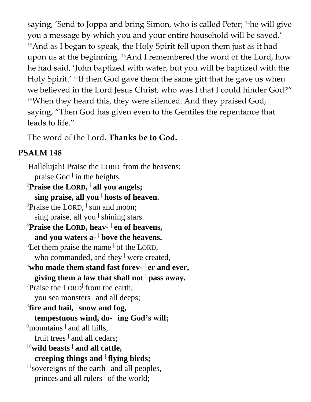saying, 'Send to Joppa and bring Simon, who is called Peter; <sup>14</sup>he will give you a message by which you and your entire household will be saved.' <sup>15</sup>And as I began to speak, the Holy Spirit fell upon them just as it had upon us at the beginning. 16And I remembered the word of the Lord, how he had said, 'John baptized with water, but you will be baptized with the Holy Spirit.' 17If then God gave them the same gift that he gave us when we believed in the Lord Jesus Christ, who was I that I could hinder God?" 18When they heard this, they were silenced. And they praised God, saying, "Then God has given even to the Gentiles the repentance that leads to life."

The word of the Lord. **Thanks be to God.**

# **PSALM 148**

<sup>1</sup>Hallelujah! Praise the LORD<sup>|</sup> from the heavens; praise God **<sup>|</sup>** in the heights. <sup>2</sup>**Praise the LORD, | all you angels;**

**sing praise, all you <sup>|</sup> hosts of heaven.** <sup>3</sup>Praise the LORD, <sup>|</sup> sun and moon; sing praise, all you **<sup>|</sup>** shining stars. <sup>4</sup>**Praise the LORD, heav- | en of heavens, and you waters a- <sup>|</sup> bove the heavens.** <sup>5</sup>Let them praise the name  $\frac{1}{1}$  of the LORD, who commanded, and they <sup>|</sup> were created,  $^6$ who made them stand fast forev-  $^|$  er and ever, **giving them a law that shall not <sup>|</sup> pass away.** <sup>7</sup>Praise the LORD<sup>†</sup> from the earth, you sea monsters **<sup>|</sup>** and all deeps;  ${}^8$ fire and hail,  ${}^|$  snow and fog, **tempestuous wind, do- | ing God's will;** <sup>9</sup> mountains <sup>|</sup> and all hills, fruit trees <sup>|</sup> and all cedars; <sup>10</sup>**wild beasts <sup>|</sup> and all cattle, creeping things and <sup>|</sup> flying birds;** <sup>11</sup> sovereigns of the earth <sup>|</sup> and all peoples, princes and all rulers <sup>|</sup> of the world;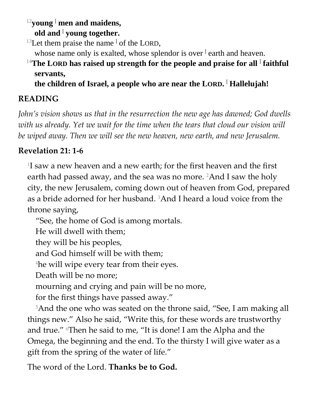<sup>12</sup>**young <sup>|</sup> men and maidens, old and <sup>|</sup> young together.**

<sup>13</sup>Let them praise the name  $\vert$  of the LORD,

whose name only is exalted, whose splendor is over <sup>|</sup> earth and heaven.

<sup>14</sup>**The LORD has raised up strength for the people and praise for all <sup>|</sup> faithful servants,**

**the children of Israel, a people who are near the LORD. <sup>|</sup> Hallelujah!**

# **READING**

*John's vision shows us that in the resurrection the new age has dawned; God dwells*  with us already. Yet we wait for the time when the tears that cloud our vision will *be wiped away. Then we will see the new heaven, new earth, and new Jerusalem.*

# **Revelation 21: 1-6**

1 I saw a new heaven and a new earth; for the first heaven and the first earth had passed away, and the sea was no more. <sup>2</sup>And I saw the holy city, the new Jerusalem, coming down out of heaven from God, prepared as a bride adorned for her husband. 3And I heard a loud voice from the throne saying,

"See, the home of God is among mortals.

He will dwell with them;

they will be his peoples,

and God himself will be with them;

<sup>4</sup>he will wipe every tear from their eyes.

Death will be no more;

mourning and crying and pain will be no more,

for the first things have passed away."

<sup>5</sup>And the one who was seated on the throne said, "See, I am making all things new." Also he said, "Write this, for these words are trustworthy and true." 6Then he said to me, "It is done! I am the Alpha and the Omega, the beginning and the end. To the thirsty I will give water as a gift from the spring of the water of life."

The word of the Lord. **Thanks be to God.**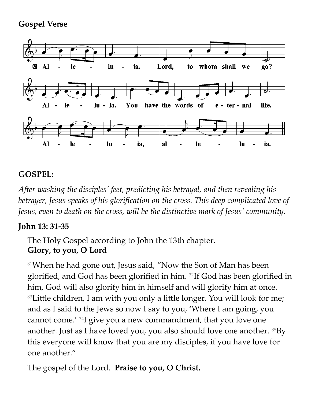## **Gospel Verse**



# **GOSPEL:**

*After washing the disciples' feet, predicting his betrayal, and then revealing his betrayer, Jesus speaks of his glorification on the cross. This deep complicated love of Jesus, even to death on the cross, will be the distinctive mark of Jesus' community.*

### **John 13: 31-35**

The Holy Gospel according to John the 13th chapter. **Glory, to you, O Lord**

<sup>31</sup>When he had gone out, Jesus said, "Now the Son of Man has been glorified, and God has been glorified in him. 32If God has been glorified in him, God will also glorify him in himself and will glorify him at once. <sup>33</sup>Little children, I am with you only a little longer. You will look for me; and as I said to the Jews so now I say to you, 'Where I am going, you cannot come.' 34I give you a new commandment, that you love one another. Just as I have loved you, you also should love one another. 35By this everyone will know that you are my disciples, if you have love for one another."

The gospel of the Lord. **Praise to you, O Christ.**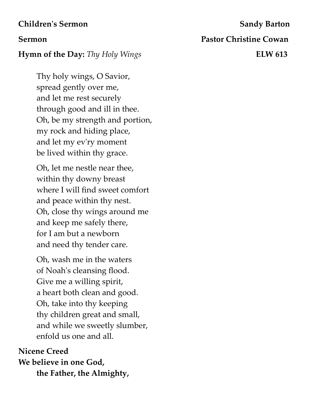#### **Children's Sermon** Sandy Barton

#### **Hymn of the Day:** *Thy Holy Wings* **ELW 613**

Thy holy wings, O Savior, spread gently over me, and let me rest securely through good and ill in thee. Oh, be my strength and portion, my rock and hiding place, and let my ev'ry moment be lived within thy grace.

Oh, let me nestle near thee, within thy downy breast where I will find sweet comfort and peace within thy nest. Oh, close thy wings around me and keep me safely there, for I am but a newborn and need thy tender care.

Oh, wash me in the waters of Noah's cleansing flood. Give me a willing spirit, a heart both clean and good. Oh, take into thy keeping thy children great and small, and while we sweetly slumber, enfold us one and all.

# **Nicene Creed We believe in one God, the Father, the Almighty,**

**Sermon Pastor Christine Cowan**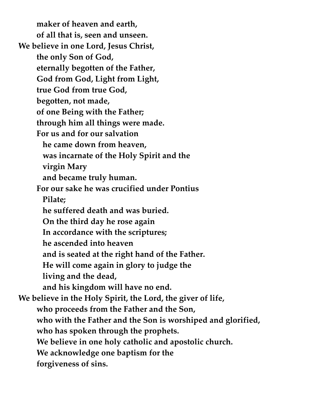**maker of heaven and earth, of all that is, seen and unseen. We believe in one Lord, Jesus Christ, the only Son of God, eternally begotten of the Father, God from God, Light from Light, true God from true God, begotten, not made, of one Being with the Father; through him all things were made. For us and for our salvation he came down from heaven, was incarnate of the Holy Spirit and the virgin Mary and became truly human. For our sake he was crucified under Pontius Pilate; he suffered death and was buried. On the third day he rose again In accordance with the scriptures; he ascended into heaven and is seated at the right hand of the Father. He will come again in glory to judge the living and the dead, and his kingdom will have no end. We believe in the Holy Spirit, the Lord, the giver of life, who proceeds from the Father and the Son, who with the Father and the Son is worshiped and glorified, who has spoken through the prophets. We believe in one holy catholic and apostolic church. We acknowledge one baptism for the forgiveness of sins.**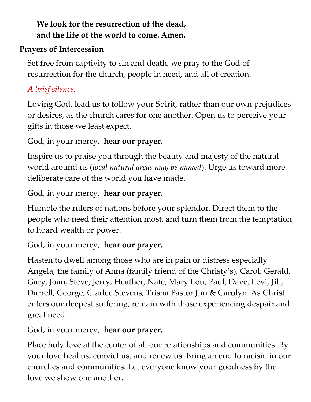# **We look for the resurrection of the dead, and the life of the world to come. Amen.**

# **Prayers of Intercession**

Set free from captivity to sin and death, we pray to the God of resurrection for the church, people in need, and all of creation.

# *A brief silence.*

Loving God, lead us to follow your Spirit, rather than our own prejudices or desires, as the church cares for one another. Open us to perceive your gifts in those we least expect.

# God, in your mercy, **hear our prayer.**

Inspire us to praise you through the beauty and majesty of the natural world around us (*local natural areas may be named*). Urge us toward more deliberate care of the world you have made.

God, in your mercy, **hear our prayer.**

Humble the rulers of nations before your splendor. Direct them to the people who need their attention most, and turn them from the temptation to hoard wealth or power.

# God, in your mercy, **hear our prayer.**

Hasten to dwell among those who are in pain or distress especially Angela, the family of Anna (family friend of the Christy's), Carol, Gerald, Gary, Joan, Steve, Jerry, Heather, Nate, Mary Lou, Paul, Dave, Levi, Jill, Darrell, George, Clarlee Stevens, Trisha Pastor Jim & Carolyn. As Christ enters our deepest suffering, remain with those experiencing despair and great need.

God, in your mercy, **hear our prayer.**

Place holy love at the center of all our relationships and communities. By your love heal us, convict us, and renew us. Bring an end to racism in our churches and communities. Let everyone know your goodness by the love we show one another.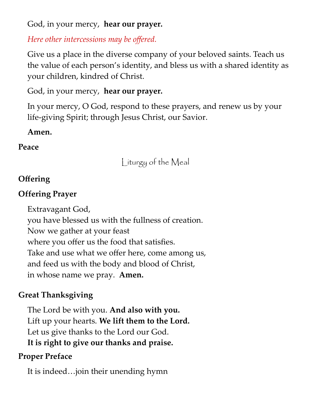## God, in your mercy, **hear our prayer.**

# *Here other intercessions may be offered.*

Give us a place in the diverse company of your beloved saints. Teach us the value of each person's identity, and bless us with a shared identity as your children, kindred of Christ.

# God, in your mercy, **hear our prayer.**

In your mercy, O God, respond to these prayers, and renew us by your life-giving Spirit; through Jesus Christ, our Savior.

## **Amen.**

# **Peace**

Liturgy of the Meal

# **Offering**

# **Offering Prayer**

Extravagant God, you have blessed us with the fullness of creation. Now we gather at your feast where you offer us the food that satisfies. Take and use what we offer here, come among us, and feed us with the body and blood of Christ, in whose name we pray. **Amen.**

# **Great Thanksgiving**

The Lord be with you. **And also with you.** Lift up your hearts. **We lift them to the Lord.** Let us give thanks to the Lord our God. **It is right to give our thanks and praise.**

# **Proper Preface**

It is indeed…join their unending hymn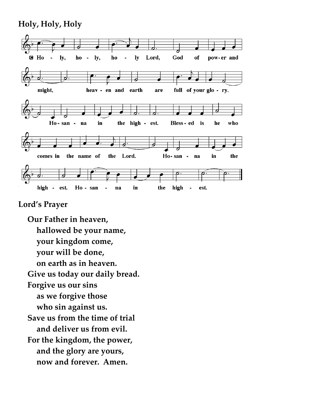#### **Holy, Holy, Holy**



#### **Lord's Prayer**

**Our Father in heaven, hallowed be your name, your kingdom come, your will be done, on earth as in heaven. Give us today our daily bread. Forgive us our sins as we forgive those who sin against us. Save us from the time of trial and deliver us from evil. For the kingdom, the power, and the glory are yours, now and forever. Amen.**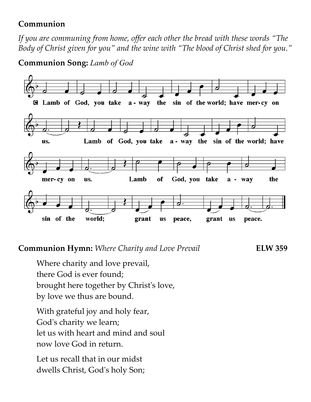## **Communion**

*If you are communing from home, offer each other the bread with these words "The Body of Christ given for you" and the wine with "The blood of Christ shed for you."*

### **Communion Song:** *Lamb of God*



### **Communion Hymn:** *Where Charity and Love Prevail* **ELW 359**

Where charity and love prevail, there God is ever found; brought here together by Christ's love, by love we thus are bound.

With grateful joy and holy fear, God's charity we learn; let us with heart and mind and soul now love God in return.

Let us recall that in our midst dwells Christ, God's holy Son;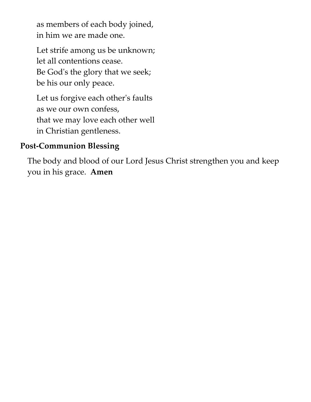as members of each body joined, in him we are made one.

Let strife among us be unknown; let all contentions cease. Be God's the glory that we seek; be his our only peace.

Let us forgive each other's faults as we our own confess, that we may love each other well in Christian gentleness.

## **Post-Communion Blessing**

The body and blood of our Lord Jesus Christ strengthen you and keep you in his grace. **Amen**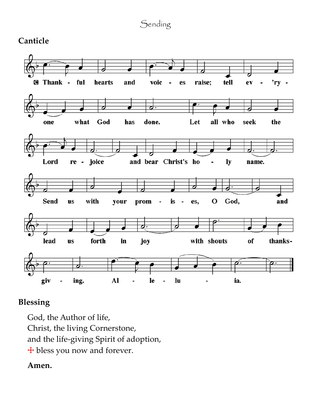# Sending

## **Canticle**



# **Blessing**

God, the Author of life, Christ, the living Cornerstone, and the life-giving Spirit of adoption, ☩ bless you now and forever.

#### **Amen.**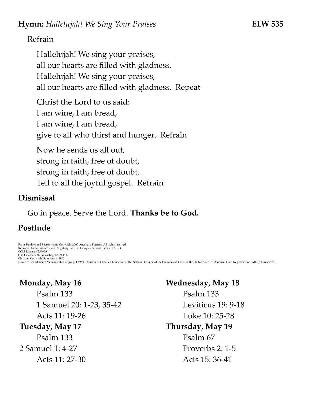#### Refrain

Hallelujah! We sing your praises, all our hearts are filled with gladness. Hallelujah! We sing your praises, all our hearts are filled with gladness. Repeat

Christ the Lord to us said: I am wine, I am bread, I am wine, I am bread, give to all who thirst and hunger. Refrain

Now he sends us all out, strong in faith, free of doubt, strong in faith, free of doubt. Tell to all the joyful gospel. Refrain

#### **Dismissal**

Go in peace. Serve the Lord. **Thanks be to God.**

# **Postlude**

From Sundays and Seasons.com. Copyright 2007 Augsburg Fortress. All rights reserved. Reprinted by permission under Augsburg Fortress Liturgies Annual License #29193. CCLI License #2549594 One License with Podcasting #A-714837 Christian Copyright Solutions #12903 New Revised Standard Version Bible, copyright 1989, Division of Christian Education of the National Council of the Churches of Christ in the United States of America. Used by permission. All rights reserved.

# **Monday, May 16**

Psalm 133 1 Samuel 20: 1-23, 35-42 Acts 11: 19-26 **Tuesday, May 17** Psalm 133 2 Samuel 1: 4-27 Acts 11: 27-30

**Wednesday, May 18** Psalm 133 Leviticus 19: 9-18 Luke 10: 25-28 **Thursday, May 19** Psalm 67 Proverbs 2: 1-5 Acts 15: 36-41